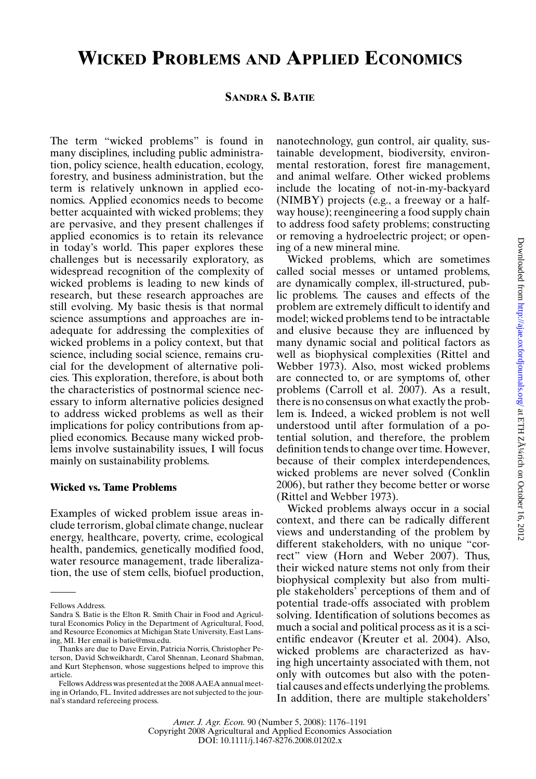# **WICKED PROBLEMS AND APPLIED ECONOMICS**

#### **SANDRA S. BATIE**

The term "wicked problems" is found in many disciplines, including public administration, policy science, health education, ecology, forestry, and business administration, but the term is relatively unknown in applied economics. Applied economics needs to become better acquainted with wicked problems; they are pervasive, and they present challenges if applied economics is to retain its relevance in today's world. This paper explores these challenges but is necessarily exploratory, as widespread recognition of the complexity of wicked problems is leading to new kinds of research, but these research approaches are still evolving. My basic thesis is that normal science assumptions and approaches are inadequate for addressing the complexities of wicked problems in a policy context, but that science, including social science, remains crucial for the development of alternative policies. This exploration, therefore, is about both the characteristics of postnormal science necessary to inform alternative policies designed to address wicked problems as well as their implications for policy contributions from applied economics. Because many wicked problems involve sustainability issues, I will focus mainly on sustainability problems.

#### **Wicked vs. Tame Problems**

Examples of wicked problem issue areas include terrorism, global climate change, nuclear energy, healthcare, poverty, crime, ecological health, pandemics, genetically modified food, water resource management, trade liberalization, the use of stem cells, biofuel production, nanotechnology, gun control, air quality, sustainable development, biodiversity, environmental restoration, forest fire management, and animal welfare. Other wicked problems include the locating of not-in-my-backyard (NIMBY) projects (e.g., a freeway or a halfway house); reengineering a food supply chain to address food safety problems; constructing or removing a hydroelectric project; or opening of a new mineral mine.

Wicked problems, which are sometimes called social messes or untamed problems, are dynamically complex, ill-structured, public problems. The causes and effects of the problem are extremely difficult to identify and model; wicked problems tend to be intractable and elusive because they are influenced by many dynamic social and political factors as well as biophysical complexities (Rittel and Webber 1973). Also, most wicked problems are connected to, or are symptoms of, other problems (Carroll et al. 2007). As a result, there is no consensus on what exactly the problem is. Indeed, a wicked problem is not well understood until after formulation of a potential solution, and therefore, the problem definition tends to change over time. However, because of their complex interdependences, wicked problems are never solved (Conklin 2006), but rather they become better or worse (Rittel and Webber 1973).

Wicked problems always occur in a social context, and there can be radically different views and understanding of the problem by different stakeholders, with no unique "correct" view (Horn and Weber 2007). Thus, their wicked nature stems not only from their biophysical complexity but also from multiple stakeholders' perceptions of them and of potential trade-offs associated with problem solving. Identification of solutions becomes as much a social and political process as it is a scientific endeavor (Kreuter et al. 2004). Also, wicked problems are characterized as having high uncertainty associated with them, not only with outcomes but also with the potential causes and effects underlying the problems. In addition, there are multiple stakeholders'

Fellows Address.

Sandra S. Batie is the Elton R. Smith Chair in Food and Agricultural Economics Policy in the Department of Agricultural, Food, and Resource Economics at Michigan State University, East Lansing, MI. Her email is batie@msu.edu.

Thanks are due to Dave Ervin, Patricia Norris, Christopher Peterson, David Schweikhardt, Carol Shennan, Leonard Shabman, and Kurt Stephenson, whose suggestions helped to improve this article.

Fellows Address was presented at the 2008 AAEA annual meeting in Orlando, FL. Invited addresses are not subjected to the journal's standard refereeing process.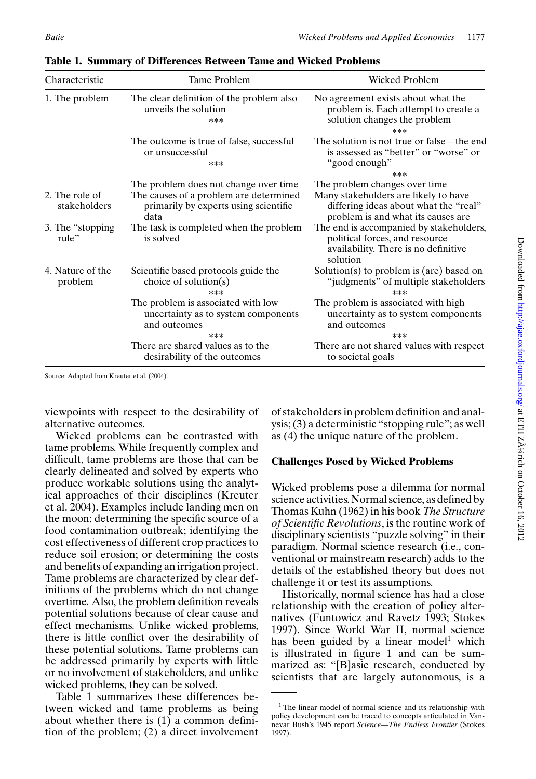| Characteristic                 | Tame Problem                                                                                                                     | Wicked Problem                                                                                                                                        |
|--------------------------------|----------------------------------------------------------------------------------------------------------------------------------|-------------------------------------------------------------------------------------------------------------------------------------------------------|
| 1. The problem                 | The clear definition of the problem also<br>unveils the solution<br>***                                                          | No agreement exists about what the<br>problem is. Each attempt to create a<br>solution changes the problem<br>***                                     |
|                                | The outcome is true of false, successful<br>or unsuccessful<br>***                                                               | The solution is not true or false—the end<br>is assessed as "better" or "worse" or<br>"good enough"                                                   |
|                                |                                                                                                                                  | ***                                                                                                                                                   |
| 2. The role of<br>stakeholders | The problem does not change over time<br>The causes of a problem are determined<br>primarily by experts using scientific<br>data | The problem changes over time.<br>Many stakeholders are likely to have<br>differing ideas about what the "real"<br>problem is and what its causes are |
| 3. The "stopping"<br>rule"     | The task is completed when the problem<br>is solved                                                                              | The end is accompanied by stakeholders,<br>political forces, and resource<br>availability. There is no definitive<br>solution                         |
| 4. Nature of the<br>problem    | Scientific based protocols guide the<br>choice of solution(s)<br>***                                                             | Solution(s) to problem is (are) based on<br>"judgments" of multiple stakeholders<br>$***$                                                             |
|                                | The problem is associated with low<br>uncertainty as to system components<br>and outcomes                                        | The problem is associated with high<br>uncertainty as to system components<br>and outcomes                                                            |
|                                | ***<br>There are shared values as to the<br>desirability of the outcomes                                                         | ***<br>There are not shared values with respect<br>to societal goals                                                                                  |

**Table 1. Summary of Differences Between Tame and Wicked Problems**

Source: Adapted from Kreuter et al. (2004).

viewpoints with respect to the desirability of alternative outcomes.

Wicked problems can be contrasted with tame problems. While frequently complex and difficult, tame problems are those that can be clearly delineated and solved by experts who produce workable solutions using the analytical approaches of their disciplines (Kreuter et al. 2004). Examples include landing men on the moon; determining the specific source of a food contamination outbreak; identifying the cost effectiveness of different crop practices to reduce soil erosion; or determining the costs and benefits of expanding an irrigation project. Tame problems are characterized by clear definitions of the problems which do not change overtime. Also, the problem definition reveals potential solutions because of clear cause and effect mechanisms. Unlike wicked problems, there is little conflict over the desirability of these potential solutions. Tame problems can be addressed primarily by experts with little or no involvement of stakeholders, and unlike wicked problems, they can be solved.

Table 1 summarizes these differences between wicked and tame problems as being about whether there is (1) a common definition of the problem; (2) a direct involvement

of stakeholders in problem definition and analysis; (3) a deterministic "stopping rule"; as well as (4) the unique nature of the problem.

# **Challenges Posed by Wicked Problems**

Wicked problems pose a dilemma for normal science activities. Normal science, as defined by Thomas Kuhn (1962) in his book *The Structure of Scientific Revolutions*, is the routine work of disciplinary scientists "puzzle solving" in their paradigm. Normal science research (i.e., conventional or mainstream research) adds to the details of the established theory but does not challenge it or test its assumptions.

Historically, normal science has had a close relationship with the creation of policy alternatives (Funtowicz and Ravetz 1993; Stokes 1997). Since World War II, normal science has been guided by a linear model<sup>1</sup> which is illustrated in figure 1 and can be summarized as: "[B]asic research, conducted by scientists that are largely autonomous, is a

<sup>&</sup>lt;sup>1</sup> The linear model of normal science and its relationship with policy development can be traced to concepts articulated in Vannevar Bush's 1945 report *Science—The Endless Frontier* (Stokes 1997).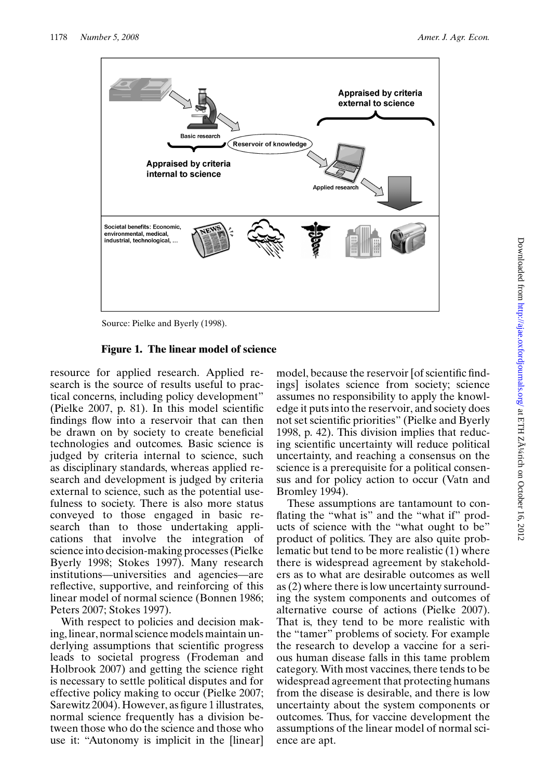

Source: Pielke and Byerly (1998).

#### **Figure 1. The linear model of science**

resource for applied research. Applied research is the source of results useful to practical concerns, including policy development" (Pielke 2007, p. 81). In this model scientific findings flow into a reservoir that can then be drawn on by society to create beneficial technologies and outcomes. Basic science is judged by criteria internal to science, such as disciplinary standards, whereas applied research and development is judged by criteria external to science, such as the potential usefulness to society. There is also more status conveyed to those engaged in basic research than to those undertaking applications that involve the integration of science into decision-making processes (Pielke Byerly 1998; Stokes 1997). Many research institutions—universities and agencies—are reflective, supportive, and reinforcing of this linear model of normal science (Bonnen 1986; Peters 2007; Stokes 1997).

With respect to policies and decision making, linear, normal science models maintain underlying assumptions that scientific progress leads to societal progress (Frodeman and Holbrook 2007) and getting the science right is necessary to settle political disputes and for effective policy making to occur (Pielke 2007; Sarewitz 2004). However, as figure 1 illustrates, normal science frequently has a division between those who do the science and those who use it: "Autonomy is implicit in the [linear] model, because the reservoir [of scientific findings] isolates science from society; science assumes no responsibility to apply the knowledge it puts into the reservoir, and society does not set scientific priorities" (Pielke and Byerly 1998, p. 42). This division implies that reducing scientific uncertainty will reduce political uncertainty, and reaching a consensus on the science is a prerequisite for a political consensus and for policy action to occur (Vatn and Bromley 1994).

These assumptions are tantamount to conflating the "what is" and the "what if" products of science with the "what ought to be" product of politics. They are also quite problematic but tend to be more realistic (1) where there is widespread agreement by stakeholders as to what are desirable outcomes as well as (2) where there is low uncertainty surrounding the system components and outcomes of alternative course of actions (Pielke 2007). That is, they tend to be more realistic with the "tamer" problems of society. For example the research to develop a vaccine for a serious human disease falls in this tame problem category. With most vaccines, there tends to be widespread agreement that protecting humans from the disease is desirable, and there is low uncertainty about the system components or outcomes. Thus, for vaccine development the assumptions of the linear model of normal science are apt.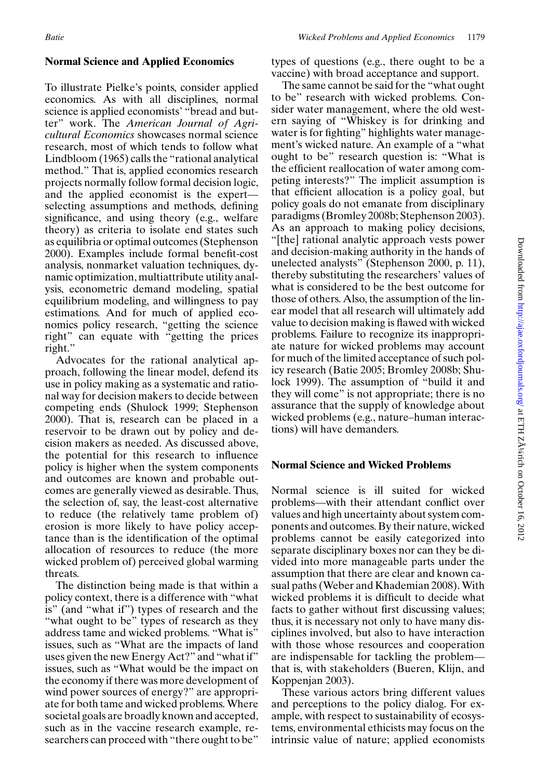# **Normal Science and Applied Economics**

To illustrate Pielke's points, consider applied economics. As with all disciplines, normal science is applied economists' "bread and butter" work. The *American Journal of Agricultural Economics* showcases normal science research, most of which tends to follow what Lindbloom (1965) calls the "rational analytical method." That is, applied economics research projects normally follow formal decision logic, and the applied economist is the expert selecting assumptions and methods, defining significance, and using theory (e.g., welfare theory) as criteria to isolate end states such as equilibria or optimal outcomes (Stephenson 2000). Examples include formal benefit-cost analysis, nonmarket valuation techniques, dynamic optimization, multiattribute utility analysis, econometric demand modeling, spatial equilibrium modeling, and willingness to pay estimations. And for much of applied economics policy research, "getting the science right" can equate with "getting the prices right."

Advocates for the rational analytical approach, following the linear model, defend its use in policy making as a systematic and rational way for decision makers to decide between competing ends (Shulock 1999; Stephenson 2000). That is, research can be placed in a reservoir to be drawn out by policy and decision makers as needed. As discussed above, the potential for this research to influence policy is higher when the system components and outcomes are known and probable outcomes are generally viewed as desirable. Thus, the selection of, say, the least-cost alternative to reduce (the relatively tame problem of) erosion is more likely to have policy acceptance than is the identification of the optimal allocation of resources to reduce (the more wicked problem of) perceived global warming threats.

The distinction being made is that within a policy context, there is a difference with "what is" (and "what if") types of research and the "what ought to be" types of research as they address tame and wicked problems. "What is" issues, such as "What are the impacts of land uses given the new Energy Act?" and "what if" issues, such as "What would be the impact on the economy if there was more development of wind power sources of energy?" are appropriate for both tame and wicked problems. Where societal goals are broadly known and accepted, such as in the vaccine research example, researchers can proceed with "there ought to be"

types of questions (e.g., there ought to be a vaccine) with broad acceptance and support.

The same cannot be said for the "what ought to be" research with wicked problems. Consider water management, where the old western saying of "Whiskey is for drinking and water is for fighting" highlights water management's wicked nature. An example of a "what ought to be" research question is: "What is the efficient reallocation of water among competing interests?" The implicit assumption is that efficient allocation is a policy goal, but policy goals do not emanate from disciplinary paradigms (Bromley 2008b; Stephenson 2003). As an approach to making policy decisions, "[the] rational analytic approach vests power and decision-making authority in the hands of unelected analysts" (Stephenson 2000, p. 11), thereby substituting the researchers' values of what is considered to be the best outcome for those of others. Also, the assumption of the linear model that all research will ultimately add value to decision making is flawed with wicked problems. Failure to recognize its inappropriate nature for wicked problems may account for much of the limited acceptance of such policy research (Batie 2005; Bromley 2008b; Shulock 1999). The assumption of "build it and they will come" is not appropriate; there is no assurance that the supply of knowledge about wicked problems (e.g., nature–human interactions) will have demanders.

# **Normal Science and Wicked Problems**

Normal science is ill suited for wicked problems—with their attendant conflict over values and high uncertainty about system components and outcomes. By their nature, wicked problems cannot be easily categorized into separate disciplinary boxes nor can they be divided into more manageable parts under the assumption that there are clear and known casual paths (Weber and Khademian 2008). With wicked problems it is difficult to decide what facts to gather without first discussing values; thus, it is necessary not only to have many disciplines involved, but also to have interaction with those whose resources and cooperation are indispensable for tackling the problem that is, with stakeholders (Bueren, Klijn, and Koppenjan 2003).

These various actors bring different values and perceptions to the policy dialog. For example, with respect to sustainability of ecosystems, environmental ethicists may focus on the intrinsic value of nature; applied economists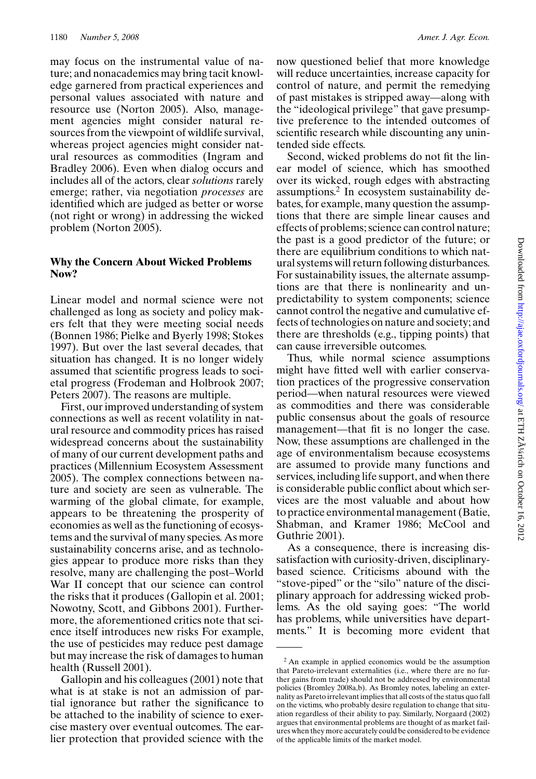may focus on the instrumental value of nature; and nonacademics may bring tacit knowledge garnered from practical experiences and personal values associated with nature and resource use (Norton 2005). Also, management agencies might consider natural resources from the viewpoint of wildlife survival, whereas project agencies might consider natural resources as commodities (Ingram and Bradley 2006). Even when dialog occurs and includes all of the actors, clear *solutions* rarely emerge; rather, via negotiation *processes* are identified which are judged as better or worse (not right or wrong) in addressing the wicked problem (Norton 2005).

#### **Why the Concern About Wicked Problems Now?**

Linear model and normal science were not challenged as long as society and policy makers felt that they were meeting social needs (Bonnen 1986; Pielke and Byerly 1998; Stokes 1997). But over the last several decades, that situation has changed. It is no longer widely assumed that scientific progress leads to societal progress (Frodeman and Holbrook 2007; Peters 2007). The reasons are multiple.

First, our improved understanding of system connections as well as recent volatility in natural resource and commodity prices has raised widespread concerns about the sustainability of many of our current development paths and practices (Millennium Ecosystem Assessment 2005). The complex connections between nature and society are seen as vulnerable. The warming of the global climate, for example, appears to be threatening the prosperity of economies as well as the functioning of ecosystems and the survival of many species. As more sustainability concerns arise, and as technologies appear to produce more risks than they resolve, many are challenging the post–World War II concept that our science can control the risks that it produces (Gallopin et al. 2001; Nowotny, Scott, and Gibbons 2001). Furthermore, the aforementioned critics note that science itself introduces new risks For example, the use of pesticides may reduce pest damage but may increase the risk of damages to human health (Russell 2001).

Gallopin and his colleagues (2001) note that what is at stake is not an admission of partial ignorance but rather the significance to be attached to the inability of science to exercise mastery over eventual outcomes. The earlier protection that provided science with the now questioned belief that more knowledge will reduce uncertainties, increase capacity for control of nature, and permit the remedying of past mistakes is stripped away—along with the "ideological privilege" that gave presumptive preference to the intended outcomes of scientific research while discounting any unintended side effects.

Second, wicked problems do not fit the linear model of science, which has smoothed over its wicked, rough edges with abstracting assumptions.2 In ecosystem sustainability debates, for example, many question the assumptions that there are simple linear causes and effects of problems; science can control nature; the past is a good predictor of the future; or there are equilibrium conditions to which natural systems will return following disturbances. For sustainability issues, the alternate assumptions are that there is nonlinearity and unpredictability to system components; science cannot control the negative and cumulative effects of technologies on nature and society; and there are thresholds (e.g., tipping points) that can cause irreversible outcomes.

Thus, while normal science assumptions might have fitted well with earlier conservation practices of the progressive conservation period—when natural resources were viewed as commodities and there was considerable public consensus about the goals of resource management—that fit is no longer the case. Now, these assumptions are challenged in the age of environmentalism because ecosystems are assumed to provide many functions and services, including life support, and when there is considerable public conflict about which services are the most valuable and about how to practice environmental management (Batie, Shabman, and Kramer 1986; McCool and Guthrie 2001).

As a consequence, there is increasing dissatisfaction with curiosity-driven, disciplinarybased science. Criticisms abound with the "stove-piped" or the "silo" nature of the disciplinary approach for addressing wicked problems. As the old saying goes: "The world has problems, while universities have departments." It is becoming more evident that

<sup>2</sup> An example in applied economics would be the assumption that Pareto-irrelevant externalities (i.e., where there are no further gains from trade) should not be addressed by environmental policies (Bromley 2008a,b). As Bromley notes, labeling an externality as Pareto irrelevant implies that all costs of the status quo fall on the victims, who probably desire regulation to change that situation regardless of their ability to pay. Similarly, Norgaard (2002) argues that environmental problems are thought of as market failures when they more accurately could be considered to be evidence of the applicable limits of the market model.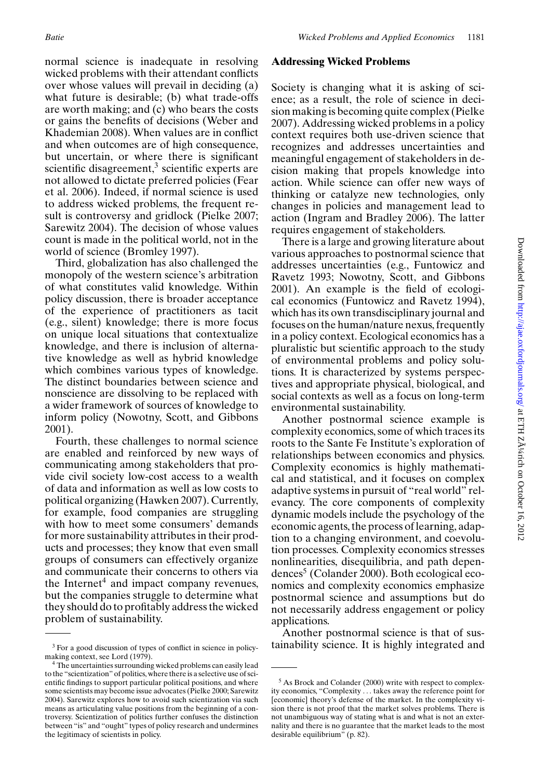normal science is inadequate in resolving wicked problems with their attendant conflicts over whose values will prevail in deciding (a) what future is desirable; (b) what trade-offs are worth making; and (c) who bears the costs or gains the benefits of decisions (Weber and Khademian 2008). When values are in conflict and when outcomes are of high consequence, but uncertain, or where there is significant scientific disagreement, $\frac{3}{2}$  scientific experts are not allowed to dictate preferred policies (Fear et al. 2006). Indeed, if normal science is used to address wicked problems, the frequent result is controversy and gridlock (Pielke 2007; Sarewitz 2004). The decision of whose values count is made in the political world, not in the world of science (Bromley 1997).

Third, globalization has also challenged the monopoly of the western science's arbitration of what constitutes valid knowledge. Within policy discussion, there is broader acceptance of the experience of practitioners as tacit (e.g., silent) knowledge; there is more focus on unique local situations that contextualize knowledge, and there is inclusion of alternative knowledge as well as hybrid knowledge which combines various types of knowledge. The distinct boundaries between science and nonscience are dissolving to be replaced with a wider framework of sources of knowledge to inform policy (Nowotny, Scott, and Gibbons 2001).

Fourth, these challenges to normal science are enabled and reinforced by new ways of communicating among stakeholders that provide civil society low-cost access to a wealth of data and information as well as low costs to political organizing (Hawken 2007). Currently, for example, food companies are struggling with how to meet some consumers' demands for more sustainability attributes in their products and processes; they know that even small groups of consumers can effectively organize and communicate their concerns to others via the Internet<sup>4</sup> and impact company revenues, but the companies struggle to determine what they should do to profitably address the wicked problem of sustainability.

#### **Addressing Wicked Problems**

Society is changing what it is asking of science; as a result, the role of science in decision making is becoming quite complex (Pielke 2007). Addressing wicked problems in a policy context requires both use-driven science that recognizes and addresses uncertainties and meaningful engagement of stakeholders in decision making that propels knowledge into action. While science can offer new ways of thinking or catalyze new technologies, only changes in policies and management lead to action (Ingram and Bradley 2006). The latter requires engagement of stakeholders.

There is a large and growing literature about various approaches to postnormal science that addresses uncertainties (e.g., Funtowicz and Ravetz 1993; Nowotny, Scott, and Gibbons 2001). An example is the field of ecological economics (Funtowicz and Ravetz 1994), which has its own transdisciplinary journal and focuses on the human/nature nexus, frequently in a policy context. Ecological economics has a pluralistic but scientific approach to the study of environmental problems and policy solutions. It is characterized by systems perspectives and appropriate physical, biological, and social contexts as well as a focus on long-term environmental sustainability.

Another postnormal science example is complexity economics, some of which traces its roots to the Sante Fe Institute's exploration of relationships between economics and physics. Complexity economics is highly mathematical and statistical, and it focuses on complex adaptive systems in pursuit of "real world" relevancy. The core components of complexity dynamic models include the psychology of the economic agents, the process of learning, adaption to a changing environment, and coevolution processes. Complexity economics stresses nonlinearities, disequilibria, and path dependences<sup>5</sup> (Colander 2000). Both ecological economics and complexity economics emphasize postnormal science and assumptions but do not necessarily address engagement or policy applications.

Another postnormal science is that of sustainability science. It is highly integrated and

<sup>3</sup> For a good discussion of types of conflict in science in policymaking context, see Lord (1979).

<sup>4</sup> The uncertainties surrounding wicked problems can easily lead to the "scientization" of politics, where there is a selective use of scientific findings to support particular political positions, and where some scientists may become issue advocates (Pielke 2000; Sarewitz 2004). Sarewitz explores how to avoid such scientization via such means as articulating value positions from the beginning of a controversy. Scientization of politics further confuses the distinction between "is" and "ought" types of policy research and undermines the legitimacy of scientists in policy.

<sup>&</sup>lt;sup>5</sup> As Brock and Colander (2000) write with respect to complexity economics, "Complexity ... takes away the reference point for [economic] theory's defense of the market. In the complexity vision there is not proof that the market solves problems. There is not unambiguous way of stating what is and what is not an externality and there is no guarantee that the market leads to the most desirable equilibrium" (p. 82).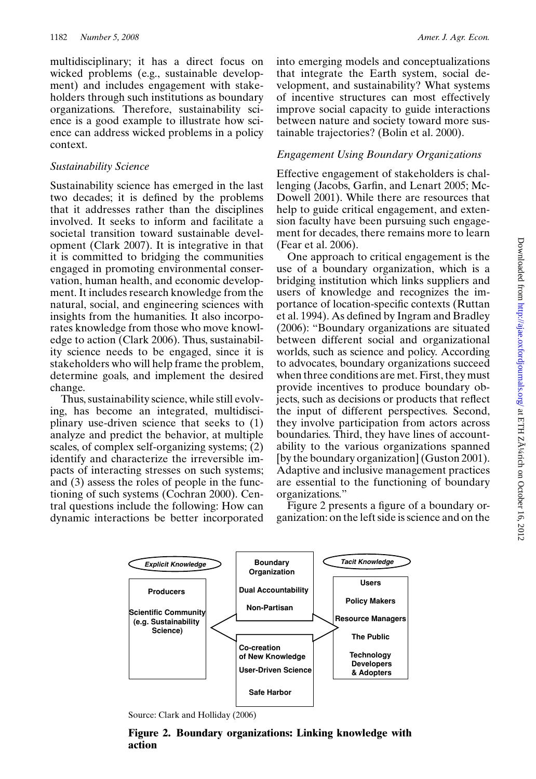multidisciplinary; it has a direct focus on wicked problems (e.g., sustainable development) and includes engagement with stakeholders through such institutions as boundary organizations. Therefore, sustainability science is a good example to illustrate how science can address wicked problems in a policy context.

## *Sustainability Science*

Sustainability science has emerged in the last two decades; it is defined by the problems that it addresses rather than the disciplines involved. It seeks to inform and facilitate a societal transition toward sustainable development (Clark 2007). It is integrative in that it is committed to bridging the communities engaged in promoting environmental conservation, human health, and economic development. It includes research knowledge from the natural, social, and engineering sciences with insights from the humanities. It also incorporates knowledge from those who move knowledge to action (Clark 2006). Thus, sustainability science needs to be engaged, since it is stakeholders who will help frame the problem, determine goals, and implement the desired change.

Thus, sustainability science, while still evolving, has become an integrated, multidisciplinary use-driven science that seeks to (1) analyze and predict the behavior, at multiple scales, of complex self-organizing systems; (2) identify and characterize the irreversible impacts of interacting stresses on such systems; and (3) assess the roles of people in the functioning of such systems (Cochran 2000). Central questions include the following: How can dynamic interactions be better incorporated

## *Engagement Using Boundary Organizations*

Effective engagement of stakeholders is challenging (Jacobs, Garfin, and Lenart 2005; Mc-Dowell 2001). While there are resources that help to guide critical engagement, and extension faculty have been pursuing such engagement for decades, there remains more to learn (Fear et al. 2006).

One approach to critical engagement is the use of a boundary organization, which is a bridging institution which links suppliers and users of knowledge and recognizes the importance of location-specific contexts (Ruttan et al. 1994). As defined by Ingram and Bradley (2006): "Boundary organizations are situated between different social and organizational worlds, such as science and policy. According to advocates, boundary organizations succeed when three conditions are met. First, they must provide incentives to produce boundary objects, such as decisions or products that reflect the input of different perspectives. Second, they involve participation from actors across boundaries. Third, they have lines of accountability to the various organizations spanned [by the boundary organization] (Guston 2001). Adaptive and inclusive management practices are essential to the functioning of boundary organizations."

Figure 2 presents a figure of a boundary organization: on the left side is science and on the



Source: Clark and Holliday (2006)

**Figure 2. Boundary organizations: Linking knowledge with action**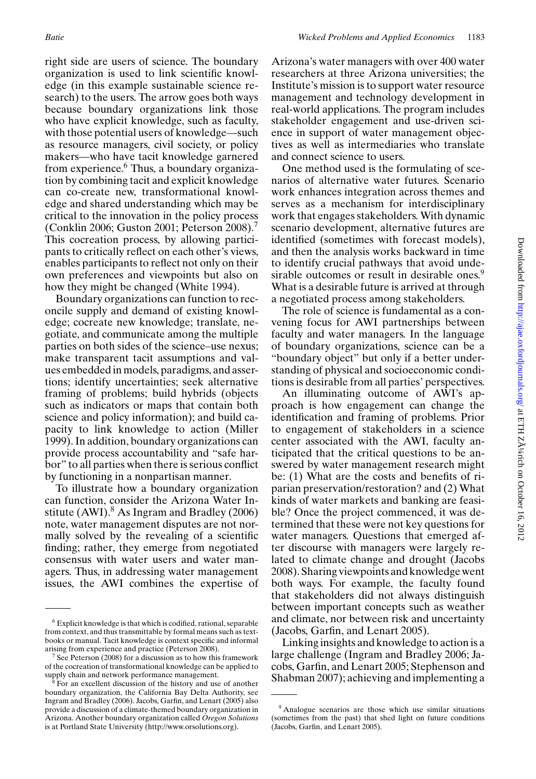right side are users of science. The boundary organization is used to link scientific knowledge (in this example sustainable science research) to the users. The arrow goes both ways because boundary organizations link those who have explicit knowledge, such as faculty, with those potential users of knowledge—such as resource managers, civil society, or policy makers—who have tacit knowledge garnered from experience.<sup>6</sup> Thus, a boundary organization by combining tacit and explicit knowledge can co-create new, transformational knowledge and shared understanding which may be critical to the innovation in the policy process (Conklin 2006; Guston 2001; Peterson 2008).7 This cocreation process, by allowing participants to critically reflect on each other's views, enables participants to reflect not only on their own preferences and viewpoints but also on how they might be changed (White 1994).

Boundary organizations can function to reconcile supply and demand of existing knowledge; cocreate new knowledge; translate, negotiate, and communicate among the multiple parties on both sides of the science–use nexus; make transparent tacit assumptions and values embedded in models, paradigms, and assertions; identify uncertainties; seek alternative framing of problems; build hybrids (objects such as indicators or maps that contain both science and policy information); and build capacity to link knowledge to action (Miller 1999). In addition, boundary organizations can provide process accountability and "safe harbor" to all parties when there is serious conflict by functioning in a nonpartisan manner.

To illustrate how a boundary organization can function, consider the Arizona Water Institute (AWI). $8$  As Ingram and Bradley (2006) note, water management disputes are not normally solved by the revealing of a scientific finding; rather, they emerge from negotiated consensus with water users and water managers. Thus, in addressing water management issues, the AWI combines the expertise of

Arizona's water managers with over 400 water researchers at three Arizona universities; the Institute's mission is to support water resource management and technology development in real-world applications. The program includes stakeholder engagement and use-driven science in support of water management objectives as well as intermediaries who translate and connect science to users.

One method used is the formulating of scenarios of alternative water futures. Scenario work enhances integration across themes and serves as a mechanism for interdisciplinary work that engages stakeholders. With dynamic scenario development, alternative futures are identified (sometimes with forecast models), and then the analysis works backward in time to identify crucial pathways that avoid undesirable outcomes or result in desirable ones.<sup>9</sup> What is a desirable future is arrived at through a negotiated process among stakeholders.

The role of science is fundamental as a convening focus for AWI partnerships between faculty and water managers. In the language of boundary organizations, science can be a "boundary object" but only if a better understanding of physical and socioeconomic conditions is desirable from all parties' perspectives.

An illuminating outcome of AWI's approach is how engagement can change the identification and framing of problems. Prior to engagement of stakeholders in a science center associated with the AWI, faculty anticipated that the critical questions to be answered by water management research might be: (1) What are the costs and benefits of riparian preservation/restoration? and (2) What kinds of water markets and banking are feasible? Once the project commenced, it was determined that these were not key questions for water managers. Questions that emerged after discourse with managers were largely related to climate change and drought (Jacobs 2008). Sharing viewpoints and knowledge went both ways. For example, the faculty found that stakeholders did not always distinguish between important concepts such as weather and climate, nor between risk and uncertainty (Jacobs, Garfin, and Lenart 2005).

Linking insights and knowledge to action is a large challenge (Ingram and Bradley 2006; Jacobs, Garfin, and Lenart 2005; Stephenson and Shabman 2007); achieving and implementing a

<sup>6</sup> Explicit knowledge is that which is codified, rational, separable from context, and thus transmittable by formal means such as textbooks or manual. Tacit knowledge is context specific and informal arising from experience and practice (Peterson 2008).

See Peterson (2008) for a discussion as to how this framework of the cocreation of transformational knowledge can be applied to supply chain and network performance management.

For an excellent discussion of the history and use of another boundary organization, the California Bay Delta Authority, see Ingram and Bradley (2006). Jacobs, Garfin, and Lenart (2005) also provide a discussion of a climate-themed boundary organization in Arizona. Another boundary organization called *Oregon Solutions* is at Portland State University (http://www.orsolutions.org).

<sup>9</sup> Analogue scenarios are those which use similar situations (sometimes from the past) that shed light on future conditions (Jacobs, Garfin, and Lenart 2005).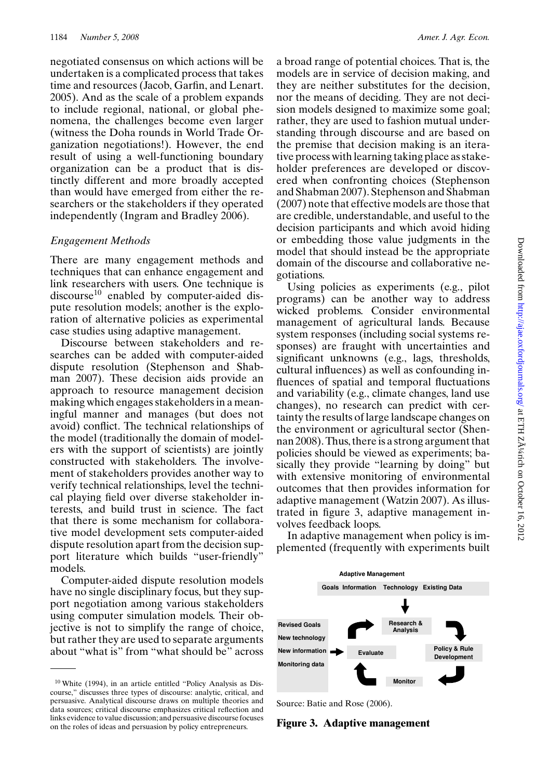negotiated consensus on which actions will be undertaken is a complicated process that takes time and resources (Jacob, Garfin, and Lenart. 2005). And as the scale of a problem expands to include regional, national, or global phenomena, the challenges become even larger (witness the Doha rounds in World Trade Organization negotiations!). However, the end result of using a well-functioning boundary organization can be a product that is distinctly different and more broadly accepted than would have emerged from either the researchers or the stakeholders if they operated independently (Ingram and Bradley 2006).

#### *Engagement Methods*

There are many engagement methods and techniques that can enhance engagement and link researchers with users. One technique is discourse<sup>10</sup> enabled by computer-aided dispute resolution models; another is the exploration of alternative policies as experimental case studies using adaptive management.

Discourse between stakeholders and researches can be added with computer-aided dispute resolution (Stephenson and Shabman 2007). These decision aids provide an approach to resource management decision making which engages stakeholders in a meaningful manner and manages (but does not avoid) conflict. The technical relationships of the model (traditionally the domain of modelers with the support of scientists) are jointly constructed with stakeholders. The involvement of stakeholders provides another way to verify technical relationships, level the technical playing field over diverse stakeholder interests, and build trust in science. The fact that there is some mechanism for collaborative model development sets computer-aided dispute resolution apart from the decision support literature which builds "user-friendly" models.

Computer-aided dispute resolution models have no single disciplinary focus, but they support negotiation among various stakeholders using computer simulation models. Their objective is not to simplify the range of choice, but rather they are used to separate arguments about "what is" from "what should be" across

a broad range of potential choices. That is, the models are in service of decision making, and they are neither substitutes for the decision, nor the means of deciding. They are not decision models designed to maximize some goal; rather, they are used to fashion mutual understanding through discourse and are based on the premise that decision making is an iterative process with learning taking place as stakeholder preferences are developed or discovered when confronting choices (Stephenson and Shabman 2007). Stephenson and Shabman (2007) note that effective models are those that are credible, understandable, and useful to the decision participants and which avoid hiding or embedding those value judgments in the model that should instead be the appropriate domain of the discourse and collaborative negotiations.

Using policies as experiments (e.g., pilot programs) can be another way to address wicked problems. Consider environmental management of agricultural lands. Because system responses (including social systems responses) are fraught with uncertainties and significant unknowns (e.g., lags, thresholds, cultural influences) as well as confounding influences of spatial and temporal fluctuations and variability (e.g., climate changes, land use changes), no research can predict with certainty the results of large landscape changes on the environment or agricultural sector (Shennan 2008). Thus, there is a strong argument that policies should be viewed as experiments; basically they provide "learning by doing" but with extensive monitoring of environmental outcomes that then provides information for adaptive management (Watzin 2007). As illustrated in figure 3, adaptive management involves feedback loops.

In adaptive management when policy is implemented (frequently with experiments built



Source: Batie and Rose (2006).

**Figure 3. Adaptive management**

<sup>10</sup> White (1994), in an article entitled "Policy Analysis as Discourse," discusses three types of discourse: analytic, critical, and persuasive. Analytical discourse draws on multiple theories and data sources; critical discourse emphasizes critical reflection and links evidence to value discussion; and persuasive discourse focuses on the roles of ideas and persuasion by policy entrepreneurs.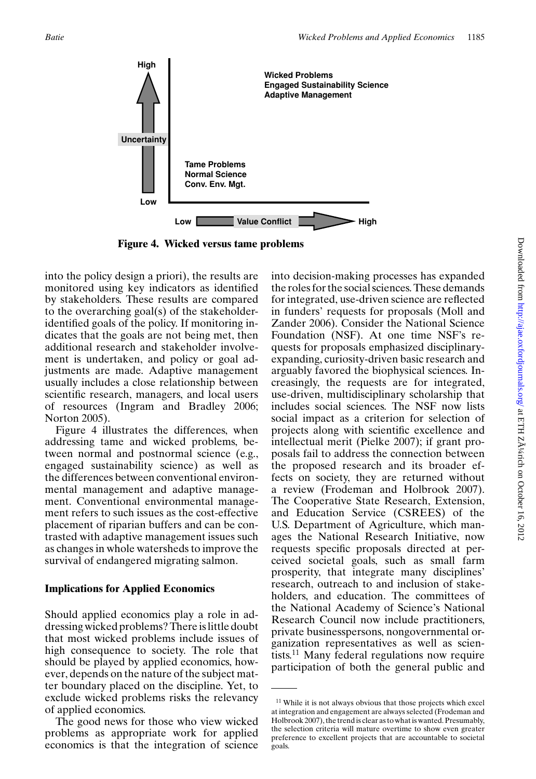

**Figure 4. Wicked versus tame problems**

into the policy design a priori), the results are monitored using key indicators as identified by stakeholders. These results are compared to the overarching goal(s) of the stakeholderidentified goals of the policy. If monitoring indicates that the goals are not being met, then additional research and stakeholder involvement is undertaken, and policy or goal adjustments are made. Adaptive management usually includes a close relationship between scientific research, managers, and local users of resources (Ingram and Bradley 2006; Norton 2005).

Figure 4 illustrates the differences, when addressing tame and wicked problems, between normal and postnormal science (e.g., engaged sustainability science) as well as the differences between conventional environmental management and adaptive management. Conventional environmental management refers to such issues as the cost-effective placement of riparian buffers and can be contrasted with adaptive management issues such as changes in whole watersheds to improve the survival of endangered migrating salmon.

# **Implications for Applied Economics**

Should applied economics play a role in addressing wicked problems? There is little doubt that most wicked problems include issues of high consequence to society. The role that should be played by applied economics, however, depends on the nature of the subject matter boundary placed on the discipline. Yet, to exclude wicked problems risks the relevancy of applied economics.

The good news for those who view wicked problems as appropriate work for applied economics is that the integration of science

into decision-making processes has expanded the roles for the social sciences. These demands for integrated, use-driven science are reflected in funders' requests for proposals (Moll and Zander 2006). Consider the National Science Foundation (NSF). At one time NSF's requests for proposals emphasized disciplinaryexpanding, curiosity-driven basic research and arguably favored the biophysical sciences. Increasingly, the requests are for integrated, use-driven, multidisciplinary scholarship that includes social sciences. The NSF now lists social impact as a criterion for selection of projects along with scientific excellence and intellectual merit (Pielke 2007); if grant proposals fail to address the connection between the proposed research and its broader effects on society, they are returned without a review (Frodeman and Holbrook 2007). The Cooperative State Research, Extension, and Education Service (CSREES) of the U.S. Department of Agriculture, which manages the National Research Initiative, now requests specific proposals directed at perceived societal goals, such as small farm prosperity, that integrate many disciplines' research, outreach to and inclusion of stakeholders, and education. The committees of the National Academy of Science's National Research Council now include practitioners, private businesspersons, nongovernmental organization representatives as well as scientists.11 Many federal regulations now require participation of both the general public and

<sup>11</sup> While it is not always obvious that those projects which excel at integration and engagement are always selected (Frodeman and Holbrook 2007), the trend is clear as to what is wanted. Presumably, the selection criteria will mature overtime to show even greater preference to excellent projects that are accountable to societal goals.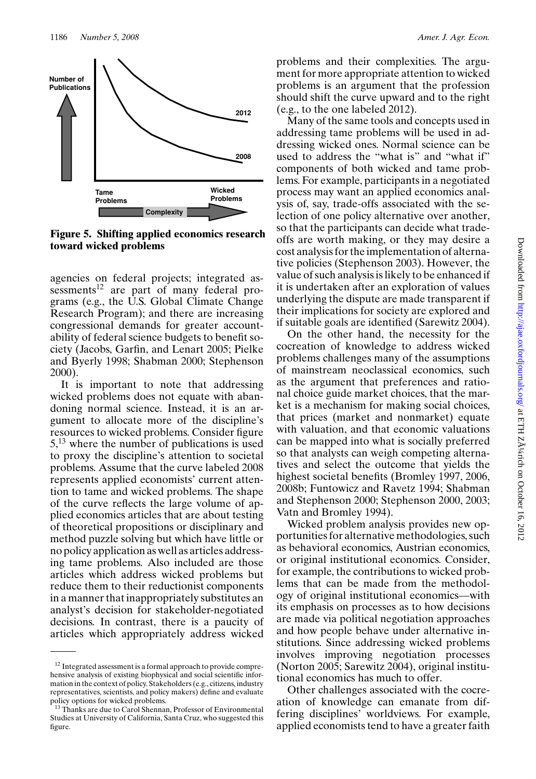

**Figure 5. Shifting applied economics research toward wicked problems**

agencies on federal projects; integrated assessments<sup>12</sup> are part of many federal programs (e.g., the U.S. Global Climate Change Research Program); and there are increasing congressional demands for greater accountability of federal science budgets to benefit society (Jacobs, Garfin, and Lenart 2005; Pielke and Byerly 1998; Shabman 2000; Stephenson 2000).

It is important to note that addressing wicked problems does not equate with abandoning normal science. Instead, it is an argument to allocate more of the discipline's resources to wicked problems. Consider figure  $5<sup>13</sup>$  where the number of publications is used to proxy the discipline's attention to societal problems. Assume that the curve labeled 2008 represents applied economists' current attention to tame and wicked problems. The shape of the curve reflects the large volume of applied economics articles that are about testing of theoretical propositions or disciplinary and method puzzle solving but which have little or no policy application as well as articles addressing tame problems. Also included are those articles which address wicked problems but reduce them to their reductionist components in a manner that inappropriately substitutes an analyst's decision for stakeholder-negotiated decisions. In contrast, there is a paucity of articles which appropriately address wicked problems and their complexities. The argument for more appropriate attention to wicked problems is an argument that the profession should shift the curve upward and to the right (e.g., to the one labeled 2012).

Many of the same tools and concepts used in addressing tame problems will be used in addressing wicked ones. Normal science can be used to address the "what is" and "what if" components of both wicked and tame problems. For example, participants in a negotiated process may want an applied economics analysis of, say, trade-offs associated with the selection of one policy alternative over another, so that the participants can decide what tradeoffs are worth making, or they may desire a cost analysis for the implementation of alternative policies (Stephenson 2003). However, the value of such analysis is likely to be enhanced if it is undertaken after an exploration of values underlying the dispute are made transparent if their implications for society are explored and if suitable goals are identified (Sarewitz 2004).

On the other hand, the necessity for the cocreation of knowledge to address wicked problems challenges many of the assumptions of mainstream neoclassical economics, such as the argument that preferences and rational choice guide market choices, that the market is a mechanism for making social choices, that prices (market and nonmarket) equate with valuation, and that economic valuations can be mapped into what is socially preferred so that analysts can weigh competing alternatives and select the outcome that yields the highest societal benefits (Bromley 1997, 2006, 2008b; Funtowicz and Ravetz 1994; Shabman and Stephenson 2000; Stephenson 2000, 2003; Vatn and Bromley 1994).

Wicked problem analysis provides new opportunities for alternative methodologies, such as behavioral economics, Austrian economics, or original institutional economics. Consider, for example, the contributions to wicked problems that can be made from the methodology of original institutional economics—with its emphasis on processes as to how decisions are made via political negotiation approaches and how people behave under alternative institutions. Since addressing wicked problems involves improving negotiation processes (Norton 2005; Sarewitz 2004), original institutional economics has much to offer.

Other challenges associated with the cocreation of knowledge can emanate from differing disciplines' worldviews. For example, applied economists tend to have a greater faith

<sup>&</sup>lt;sup>12</sup> Integrated assessment is a formal approach to provide comprehensive analysis of existing biophysical and social scientific information in the context of policy. Stakeholders (e.g., citizens, industry representatives, scientists, and policy makers) define and evaluate policy options for wicked problems.

<sup>&</sup>lt;sup>13</sup> Thanks are due to Carol Shennan, Professor of Environmental Studies at University of California, Santa Cruz, who suggested this figure.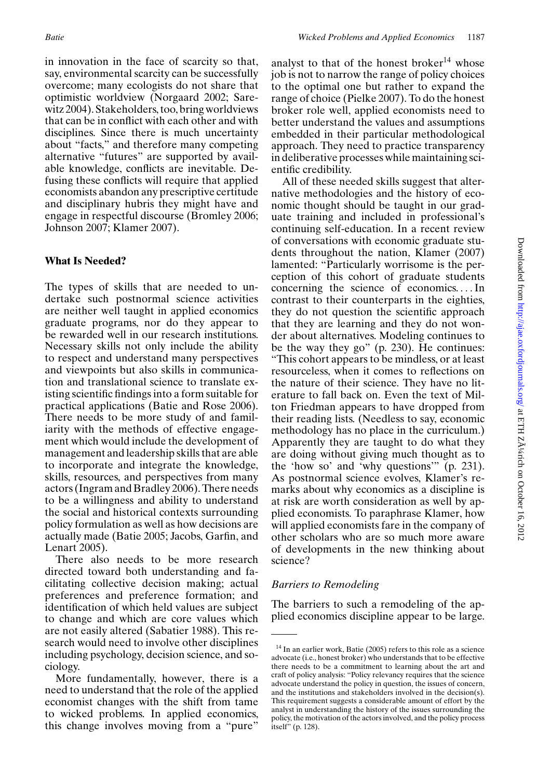in innovation in the face of scarcity so that, say, environmental scarcity can be successfully overcome; many ecologists do not share that optimistic worldview (Norgaard 2002; Sarewitz 2004). Stakeholders, too, bring worldviews that can be in conflict with each other and with disciplines. Since there is much uncertainty about "facts," and therefore many competing alternative "futures" are supported by available knowledge, conflicts are inevitable. Defusing these conflicts will require that applied economists abandon any prescriptive certitude and disciplinary hubris they might have and engage in respectful discourse (Bromley 2006; Johnson 2007; Klamer 2007).

# **What Is Needed?**

The types of skills that are needed to undertake such postnormal science activities are neither well taught in applied economics graduate programs, nor do they appear to be rewarded well in our research institutions. Necessary skills not only include the ability to respect and understand many perspectives and viewpoints but also skills in communication and translational science to translate existing scientific findings into a form suitable for practical applications (Batie and Rose 2006). There needs to be more study of and familiarity with the methods of effective engagement which would include the development of management and leadership skills that are able to incorporate and integrate the knowledge, skills, resources, and perspectives from many actors (Ingram and Bradley 2006). There needs to be a willingness and ability to understand the social and historical contexts surrounding policy formulation as well as how decisions are actually made (Batie 2005; Jacobs, Garfin, and Lenart 2005).

There also needs to be more research directed toward both understanding and facilitating collective decision making; actual preferences and preference formation; and identification of which held values are subject to change and which are core values which are not easily altered (Sabatier 1988). This research would need to involve other disciplines including psychology, decision science, and sociology.

More fundamentally, however, there is a need to understand that the role of the applied economist changes with the shift from tame to wicked problems. In applied economics, this change involves moving from a "pure"

analyst to that of the honest broker $14$  whose job is not to narrow the range of policy choices to the optimal one but rather to expand the range of choice (Pielke 2007). To do the honest broker role well, applied economists need to better understand the values and assumptions embedded in their particular methodological approach. They need to practice transparency in deliberative processes while maintaining scientific credibility.

All of these needed skills suggest that alternative methodologies and the history of economic thought should be taught in our graduate training and included in professional's continuing self-education. In a recent review of conversations with economic graduate students throughout the nation, Klamer (2007) lamented: "Particularly worrisome is the perception of this cohort of graduate students concerning the science of economics. ...In contrast to their counterparts in the eighties, they do not question the scientific approach that they are learning and they do not wonder about alternatives. Modeling continues to be the way they go" (p. 230). He continues: "This cohort appears to be mindless, or at least resourceless, when it comes to reflections on the nature of their science. They have no literature to fall back on. Even the text of Milton Friedman appears to have dropped from their reading lists. (Needless to say, economic methodology has no place in the curriculum.) Apparently they are taught to do what they are doing without giving much thought as to the 'how so' and 'why questions'" (p. 231). As postnormal science evolves, Klamer's remarks about why economics as a discipline is at risk are worth consideration as well by applied economists. To paraphrase Klamer, how will applied economists fare in the company of other scholars who are so much more aware of developments in the new thinking about science?

# *Barriers to Remodeling*

The barriers to such a remodeling of the applied economics discipline appear to be large.

<sup>&</sup>lt;sup>14</sup> In an earlier work, Batie (2005) refers to this role as a science advocate (i.e., honest broker) who understands that to be effective there needs to be a commitment to learning about the art and craft of policy analysis: "Policy relevancy requires that the science advocate understand the policy in question, the issues of concern, and the institutions and stakeholders involved in the decision(s). This requirement suggests a considerable amount of effort by the analyst in understanding the history of the issues surrounding the policy, the motivation of the actors involved, and the policy process itself" (p. 128).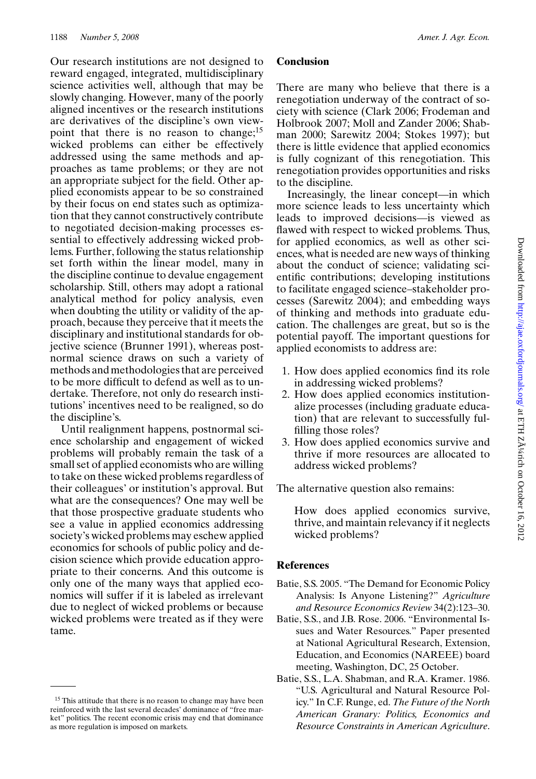Our research institutions are not designed to reward engaged, integrated, multidisciplinary science activities well, although that may be slowly changing. However, many of the poorly aligned incentives or the research institutions are derivatives of the discipline's own viewpoint that there is no reason to change;<sup>15</sup> wicked problems can either be effectively addressed using the same methods and approaches as tame problems; or they are not an appropriate subject for the field. Other applied economists appear to be so constrained by their focus on end states such as optimization that they cannot constructively contribute to negotiated decision-making processes essential to effectively addressing wicked problems. Further, following the status relationship set forth within the linear model, many in the discipline continue to devalue engagement scholarship. Still, others may adopt a rational analytical method for policy analysis, even when doubting the utility or validity of the approach, because they perceive that it meets the disciplinary and institutional standards for objective science (Brunner 1991), whereas postnormal science draws on such a variety of methods and methodologies that are perceived to be more difficult to defend as well as to undertake. Therefore, not only do research institutions' incentives need to be realigned, so do the discipline's.

Until realignment happens, postnormal science scholarship and engagement of wicked problems will probably remain the task of a small set of applied economists who are willing to take on these wicked problems regardless of their colleagues' or institution's approval. But what are the consequences? One may well be that those prospective graduate students who see a value in applied economics addressing society's wicked problems may eschew applied economics for schools of public policy and decision science which provide education appropriate to their concerns. And this outcome is only one of the many ways that applied economics will suffer if it is labeled as irrelevant due to neglect of wicked problems or because wicked problems were treated as if they were tame.

#### **Conclusion**

There are many who believe that there is a renegotiation underway of the contract of society with science (Clark 2006; Frodeman and Holbrook 2007; Moll and Zander 2006; Shabman 2000; Sarewitz 2004; Stokes 1997); but there is little evidence that applied economics is fully cognizant of this renegotiation. This renegotiation provides opportunities and risks to the discipline.

Increasingly, the linear concept—in which more science leads to less uncertainty which leads to improved decisions—is viewed as flawed with respect to wicked problems. Thus, for applied economics, as well as other sciences, what is needed are new ways of thinking about the conduct of science; validating scientific contributions; developing institutions to facilitate engaged science–stakeholder processes (Sarewitz 2004); and embedding ways of thinking and methods into graduate education. The challenges are great, but so is the potential payoff. The important questions for applied economists to address are:

- 1. How does applied economics find its role in addressing wicked problems?
- 2. How does applied economics institutionalize processes (including graduate education) that are relevant to successfully fulfilling those roles?
- 3. How does applied economics survive and thrive if more resources are allocated to address wicked problems?

The alternative question also remains:

How does applied economics survive, thrive, and maintain relevancy if it neglects wicked problems?

#### **References**

- Batie, S.S. 2005. "The Demand for Economic Policy Analysis: Is Anyone Listening?" *Agriculture and Resource Economics Review* 34(2):123–30.
- Batie, S.S., and J.B. Rose. 2006. "Environmental Issues and Water Resources." Paper presented at National Agricultural Research, Extension, Education, and Economics (NAREEE) board meeting, Washington, DC, 25 October.
- Batie, S.S., L.A. Shabman, and R.A. Kramer. 1986. "U.S. Agricultural and Natural Resource Policy." In C.F. Runge, ed. *The Future of the North American Granary: Politics, Economics and Resource Constraints in American Agriculture*.

<sup>&</sup>lt;sup>15</sup> This attitude that there is no reason to change may have been reinforced with the last several decades' dominance of "free market" politics. The recent economic crisis may end that dominance as more regulation is imposed on markets.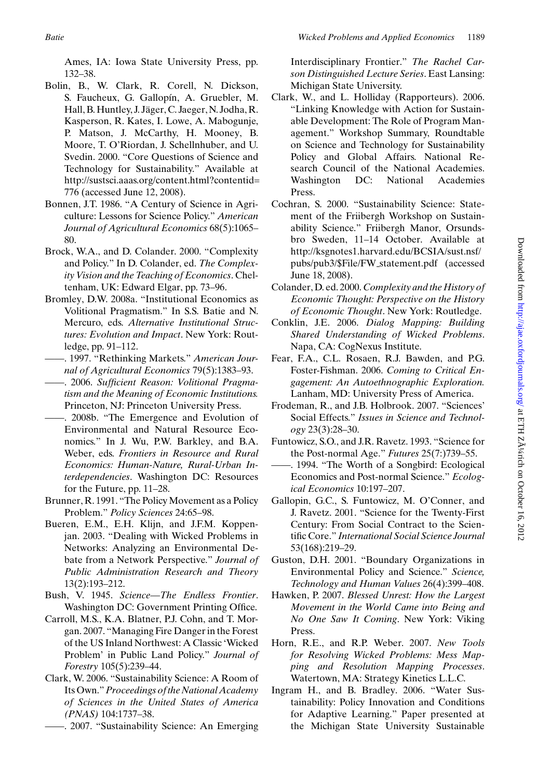Ames, IA: Iowa State University Press, pp. 132–38.

- Bolin, B., W. Clark, R. Corell, N. Dickson, S. Faucheux, G. Gallopín, A. Gruebler, M. Hall, B. Huntley, J. Jäger, C. Jaeger, N. Jodha, R. Kasperson, R. Kates, I. Lowe, A. Mabogunje, P. Matson, J. McCarthy, H. Mooney, B. Moore, T. O'Riordan, J. Schellnhuber, and U. Svedin. 2000. "Core Questions of Science and Technology for Sustainability." Available at http://sustsci.aaas.org/content.html?contentid= 776 (accessed June 12, 2008).
- Bonnen, J.T. 1986. "A Century of Science in Agriculture: Lessons for Science Policy." *American Journal of Agricultural Economics* 68(5):1065– 80.
- Brock, W.A., and D. Colander. 2000. "Complexity and Policy." In D. Colander, ed. *The Complexity Vision and the Teaching of Economics*. Cheltenham, UK: Edward Elgar, pp. 73–96.
- Bromley, D.W. 2008a. "Institutional Economics as Volitional Pragmatism." In S.S. Batie and N. Mercuro, eds. *Alternative Institutional Structures: Evolution and Impact*. New York: Routledge, pp. 91–112.
- ——. 1997. "Rethinking Markets." *American Journal of Agricultural Economics* 79(5):1383–93.
- ——. 2006. *Sufficient Reason: Volitional Pragmatism and the Meaning of Economic Institutions.* Princeton, NJ: Princeton University Press.
- ——. 2008b. "The Emergence and Evolution of Environmental and Natural Resource Economics." In J. Wu, P.W. Barkley, and B.A. Weber, eds. *Frontiers in Resource and Rural Economics: Human-Nature, Rural-Urban Interdependencies*. Washington DC: Resources for the Future, pp. 11–28.
- Brunner, R. 1991. "The Policy Movement as a Policy Problem." *Policy Sciences* 24:65–98.
- Bueren, E.M., E.H. Klijn, and J.F.M. Koppenjan. 2003. "Dealing with Wicked Problems in Networks: Analyzing an Environmental Debate from a Network Perspective." *Journal of Public Administration Research and Theory* 13(2):193–212.
- Bush, V. 1945. *Science—The Endless Frontier*. Washington DC: Government Printing Office.
- Carroll, M.S., K.A. Blatner, P.J. Cohn, and T. Morgan. 2007. "Managing Fire Danger in the Forest of the US Inland Northwest: A Classic 'Wicked Problem' in Public Land Policy." *Journal of Forestry* 105(5):239–44.
- Clark, W. 2006. "Sustainability Science: A Room of Its Own."*Proceedings of the National Academy of Sciences in the United States of America (PNAS)* 104:1737–38.
	- ——. 2007. "Sustainability Science: An Emerging

Interdisciplinary Frontier." *The Rachel Carson Distinguished Lecture Series*. East Lansing: Michigan State University.

- Clark, W., and L. Holliday (Rapporteurs). 2006. "Linking Knowledge with Action for Sustainable Development: The Role of Program Management." Workshop Summary, Roundtable on Science and Technology for Sustainability Policy and Global Affairs. National Research Council of the National Academies. Washington DC: National Academies Press.
- Cochran, S. 2000. "Sustainability Science: Statement of the Friibergh Workshop on Sustainability Science." Friibergh Manor, Orsundsbro Sweden, 11–14 October. Available at http://ksgnotes1.harvard.edu/BCSIA/sust.nsf/ pubs/pub3/\$File/FW statement.pdf (accessed June 18, 2008).
- Colander, D. ed. 2000. *Complexity and the History of Economic Thought: Perspective on the History of Economic Thought*. New York: Routledge.
- Conklin, J.E. 2006. *Dialog Mapping: Building Shared Understanding of Wicked Problems*. Napa, CA: CogNexus Institute.
- Fear, F.A., C.L. Rosaen, R.J. Bawden, and P.G. Foster-Fishman. 2006. *Coming to Critical Engagement: An Autoethnographic Exploration.* Lanham, MD: University Press of America.
- Frodeman, R., and J.B. Holbrook. 2007. "Sciences' Social Effects." *Issues in Science and Technology* 23(3):28–30.
- Funtowicz, S.O., and J.R. Ravetz. 1993. "Science for the Post-normal Age." *Futures* 25(7:)739–55.
- ——. 1994. "The Worth of a Songbird: Ecological Economics and Post-normal Science." *Ecological Economics* 10:197–207.
- Gallopin, G.C., S. Funtowicz, M. O'Conner, and J. Ravetz. 2001. "Science for the Twenty-First Century: From Social Contract to the Scientific Core." *International Social Science Journal* 53(168):219–29.
- Guston, D.H. 2001. "Boundary Organizations in Environmental Policy and Science." *Science, Technology and Human Values* 26(4):399–408.
- Hawken, P. 2007. *Blessed Unrest: How the Largest Movement in the World Came into Being and No One Saw It Coming*. New York: Viking Press.
- Horn, R.E., and R.P. Weber. 2007. *New Tools for Resolving Wicked Problems: Mess Mapping and Resolution Mapping Processes*. Watertown, MA: Strategy Kinetics L.L.C.
- Ingram H., and B. Bradley. 2006. "Water Sustainability: Policy Innovation and Conditions for Adaptive Learning." Paper presented at the Michigan State University Sustainable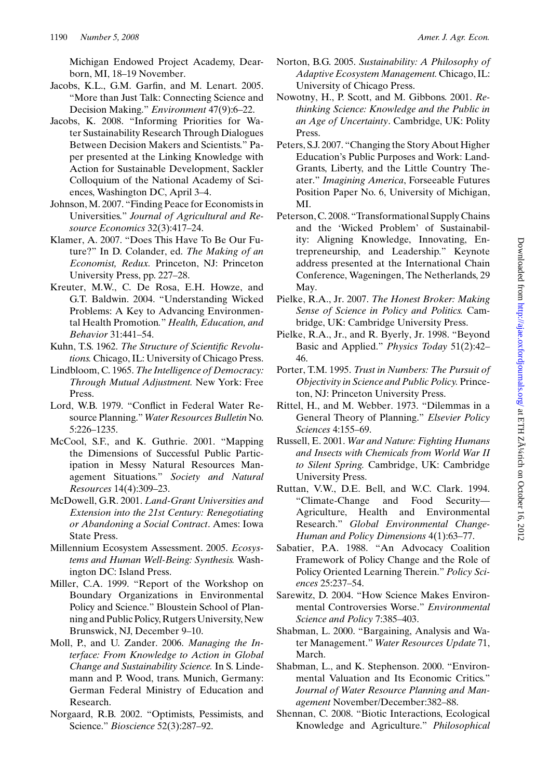Michigan Endowed Project Academy, Dearborn, MI, 18–19 November.

- Jacobs, K.L., G.M. Garfin, and M. Lenart. 2005. "More than Just Talk: Connecting Science and Decision Making." *Environment* 47(9):6–22.
- Jacobs, K. 2008. "Informing Priorities for Water Sustainability Research Through Dialogues Between Decision Makers and Scientists." Paper presented at the Linking Knowledge with Action for Sustainable Development, Sackler Colloquium of the National Academy of Sciences, Washington DC, April 3–4.
- Johnson, M. 2007. "Finding Peace for Economists in Universities." *Journal of Agricultural and Resource Economics* 32(3):417–24.
- Klamer, A. 2007. "Does This Have To Be Our Future?" In D. Colander, ed. *The Making of an Economist, Redux.* Princeton, NJ: Princeton University Press, pp. 227–28.
- Kreuter, M.W., C. De Rosa, E.H. Howze, and G.T. Baldwin. 2004. "Understanding Wicked Problems: A Key to Advancing Environmental Health Promotion*.*" *Health, Education, and Behavior* 31:441–54.
- Kuhn, T.S. 1962. *The Structure of Scientific Revolutions.* Chicago, IL: University of Chicago Press.
- Lindbloom, C. 1965. *The Intelligence of Democracy: Through Mutual Adjustment.* New York: Free Press.
- Lord, W.B. 1979. "Conflict in Federal Water Resource Planning." *Water Resources Bulletin* No. 5:226–1235.
- McCool, S.F., and K. Guthrie. 2001. "Mapping the Dimensions of Successful Public Participation in Messy Natural Resources Management Situations." *Society and Natural Resources* 14(4):309–23.
- McDowell, G.R. 2001. *Land-Grant Universities and Extension into the 21st Century: Renegotiating or Abandoning a Social Contract*. Ames: Iowa State Press.
- Millennium Ecosystem Assessment. 2005. *Ecosystems and Human Well-Being: Synthesis.* Washington DC: Island Press.
- Miller, C.A. 1999. "Report of the Workshop on Boundary Organizations in Environmental Policy and Science." Bloustein School of Planning and Public Policy, Rutgers University, New Brunswick, NJ, December 9–10.
- Moll, P., and U. Zander. 2006. *Managing the Interface: From Knowledge to Action in Global Change and Sustainability Science.* In S. Lindemann and P. Wood, trans. Munich, Germany: German Federal Ministry of Education and Research.
- Norgaard, R.B. 2002. "Optimists, Pessimists, and Science." *Bioscience* 52(3):287–92.
- Norton, B.G. 2005. *Sustainability: A Philosophy of Adaptive Ecosystem Management.* Chicago, IL: University of Chicago Press.
- Nowotny, H., P. Scott, and M. Gibbons. 2001. *Rethinking Science: Knowledge and the Public in an Age of Uncertainty*. Cambridge, UK: Polity Press.
- Peters, S.J. 2007. "Changing the Story About Higher Education's Public Purposes and Work: Land-Grants, Liberty, and the Little Country Theater." *Imagining America*, Forseeable Futures Position Paper No. 6, University of Michigan, MI.
- Peterson, C. 2008. "Transformational Supply Chains and the 'Wicked Problem' of Sustainability: Aligning Knowledge, Innovating, Entrepreneurship, and Leadership." Keynote address presented at the International Chain Conference, Wageningen, The Netherlands, 29 May.
- Pielke, R.A., Jr. 2007. *The Honest Broker: Making Sense of Science in Policy and Politics.* Cambridge, UK: Cambridge University Press.
- Pielke, R.A., Jr., and R. Byerly, Jr. 1998. "Beyond Basic and Applied." *Physics Today* 51(2):42– 46.
- Porter, T.M. 1995. *Trust in Numbers: The Pursuit of Objectivity in Science and Public Policy.* Princeton, NJ: Princeton University Press.
- Rittel, H., and M. Webber. 1973. "Dilemmas in a General Theory of Planning." *Elsevier Policy Sciences* 4:155–69.
- Russell, E. 2001. *War and Nature: Fighting Humans and Insects with Chemicals from World War II to Silent Spring.* Cambridge, UK: Cambridge University Press.
- Ruttan, V.W., D.E. Bell, and W.C. Clark. 1994. "Climate-Change and Food Security— Agriculture, Health and Environmental Research." *Global Environmental Change-Human and Policy Dimensions* 4(1):63–77.
- Sabatier, P.A. 1988. "An Advocacy Coalition Framework of Policy Change and the Role of Policy Oriented Learning Therein." *Policy Sciences* 25:237–54.
- Sarewitz, D. 2004. "How Science Makes Environmental Controversies Worse." *Environmental Science and Policy* 7:385–403.
- Shabman, L. 2000. "Bargaining, Analysis and Water Management." *Water Resources Update* 71, March.
- Shabman, L., and K. Stephenson. 2000. "Environmental Valuation and Its Economic Critics." *Journal of Water Resource Planning and Management* November/December:382–88.
- Shennan, C. 2008. "Biotic Interactions, Ecological Knowledge and Agriculture." *Philosophical*